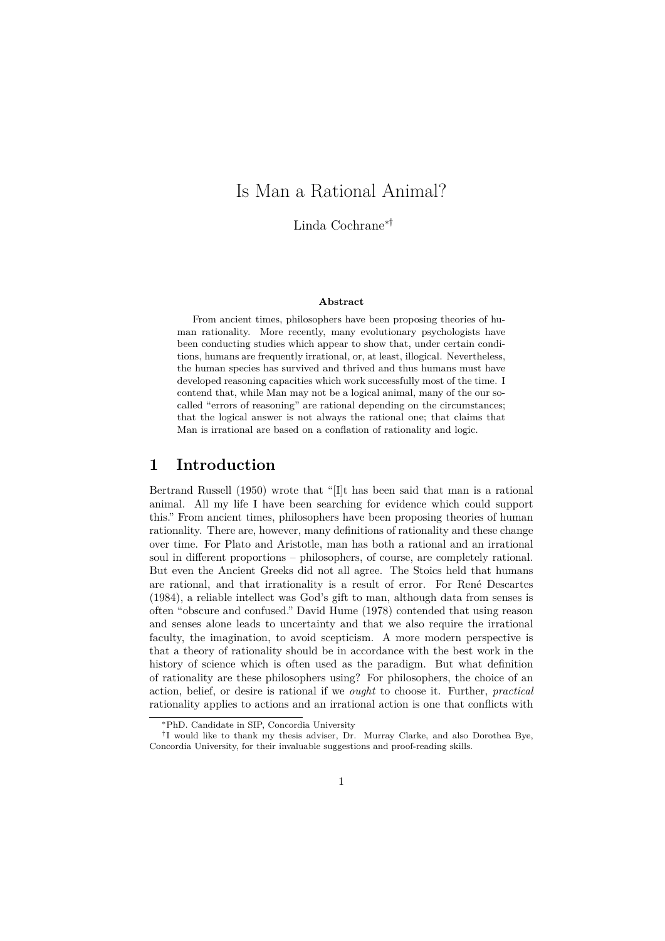# Is Man a Rational Animal?

Linda Cochrane∗†

#### **Abstract**

From ancient times, philosophers have been proposing theories of human rationality. More recently, many evolutionary psychologists have been conducting studies which appear to show that, under certain conditions, humans are frequently irrational, or, at least, illogical. Nevertheless, the human species has survived and thrived and thus humans must have developed reasoning capacities which work successfully most of the time. I contend that, while Man may not be a logical animal, many of the our socalled "errors of reasoning" are rational depending on the circumstances; that the logical answer is not always the rational one; that claims that Man is irrational are based on a conflation of rationality and logic.

#### **1 Introduction**

Bertrand Russell (1950) wrote that "[I]t has been said that man is a rational animal. All my life I have been searching for evidence which could support this." From ancient times, philosophers have been proposing theories of human rationality. There are, however, many definitions of rationality and these change over time. For Plato and Aristotle, man has both a rational and an irrational soul in different proportions – philosophers, of course, are completely rational. But even the Ancient Greeks did not all agree. The Stoics held that humans are rational, and that irrationality is a result of error. For René Descartes (1984), a reliable intellect was God's gift to man, although data from senses is often "obscure and confused." David Hume (1978) contended that using reason and senses alone leads to uncertainty and that we also require the irrational faculty, the imagination, to avoid scepticism. A more modern perspective is that a theory of rationality should be in accordance with the best work in the history of science which is often used as the paradigm. But what definition of rationality are these philosophers using? For philosophers, the choice of an action, belief, or desire is rational if we *ought* to choose it. Further, *practical* rationality applies to actions and an irrational action is one that conflicts with

<sup>∗</sup>PhD. Candidate in SIP, Concordia University

<sup>†</sup> I would like to thank my thesis adviser, Dr. Murray Clarke, and also Dorothea Bye, Concordia University, for their invaluable suggestions and proof-reading skills.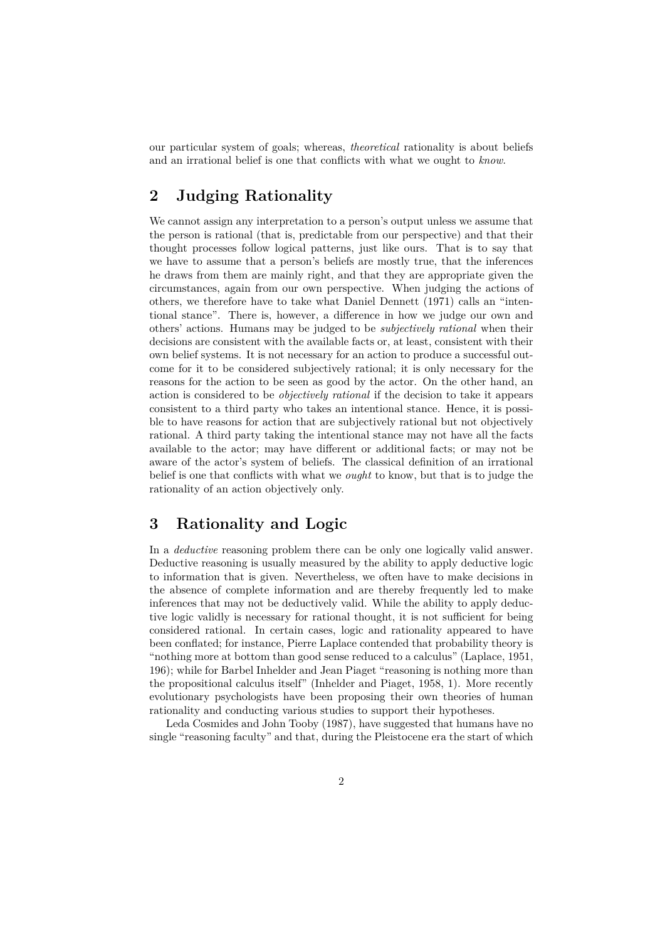our particular system of goals; whereas, *theoretical* rationality is about beliefs and an irrational belief is one that conflicts with what we ought to *know*.

## **2 Judging Rationality**

We cannot assign any interpretation to a person's output unless we assume that the person is rational (that is, predictable from our perspective) and that their thought processes follow logical patterns, just like ours. That is to say that we have to assume that a person's beliefs are mostly true, that the inferences he draws from them are mainly right, and that they are appropriate given the circumstances, again from our own perspective. When judging the actions of others, we therefore have to take what Daniel Dennett (1971) calls an "intentional stance". There is, however, a difference in how we judge our own and others' actions. Humans may be judged to be *subjectively rational* when their decisions are consistent with the available facts or, at least, consistent with their own belief systems. It is not necessary for an action to produce a successful outcome for it to be considered subjectively rational; it is only necessary for the reasons for the action to be seen as good by the actor. On the other hand, an action is considered to be *objectively rational* if the decision to take it appears consistent to a third party who takes an intentional stance. Hence, it is possible to have reasons for action that are subjectively rational but not objectively rational. A third party taking the intentional stance may not have all the facts available to the actor; may have different or additional facts; or may not be aware of the actor's system of beliefs. The classical definition of an irrational belief is one that conflicts with what we *ought* to know, but that is to judge the rationality of an action objectively only.

### **3 Rationality and Logic**

In a *deductive* reasoning problem there can be only one logically valid answer. Deductive reasoning is usually measured by the ability to apply deductive logic to information that is given. Nevertheless, we often have to make decisions in the absence of complete information and are thereby frequently led to make inferences that may not be deductively valid. While the ability to apply deductive logic validly is necessary for rational thought, it is not sufficient for being considered rational. In certain cases, logic and rationality appeared to have been conflated; for instance, Pierre Laplace contended that probability theory is "nothing more at bottom than good sense reduced to a calculus" (Laplace, 1951, 196); while for Barbel Inhelder and Jean Piaget "reasoning is nothing more than the propositional calculus itself" (Inhelder and Piaget, 1958, 1). More recently evolutionary psychologists have been proposing their own theories of human rationality and conducting various studies to support their hypotheses.

Leda Cosmides and John Tooby (1987), have suggested that humans have no single "reasoning faculty" and that, during the Pleistocene era the start of which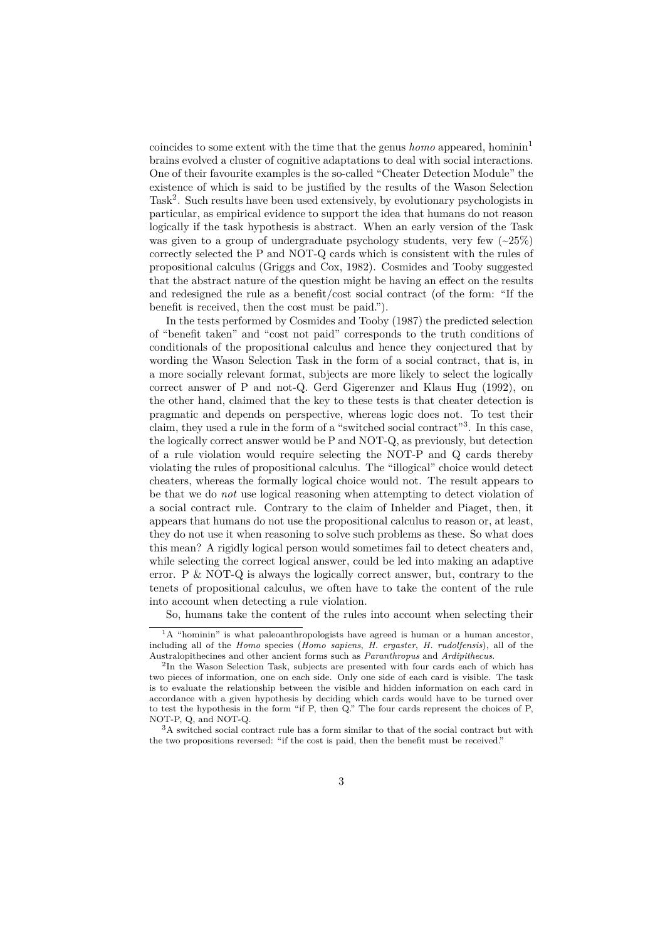coincides to some extent with the time that the genus *homo* appeared, hominin<sup>1</sup> brains evolved a cluster of cognitive adaptations to deal with social interactions. One of their favourite examples is the so-called "Cheater Detection Module" the existence of which is said to be justified by the results of the Wason Selection Task<sup>2</sup>. Such results have been used extensively, by evolutionary psychologists in particular, as empirical evidence to support the idea that humans do not reason logically if the task hypothesis is abstract. When an early version of the Task was given to a group of undergraduate psychology students, very few  $\left( \sim 25\% \right)$ correctly selected the P and NOT-Q cards which is consistent with the rules of propositional calculus (Griggs and Cox, 1982). Cosmides and Tooby suggested that the abstract nature of the question might be having an effect on the results and redesigned the rule as a benefit/cost social contract (of the form: "If the benefit is received, then the cost must be paid.").

In the tests performed by Cosmides and Tooby (1987) the predicted selection of "benefit taken" and "cost not paid" corresponds to the truth conditions of conditionals of the propositional calculus and hence they conjectured that by wording the Wason Selection Task in the form of a social contract, that is, in a more socially relevant format, subjects are more likely to select the logically correct answer of P and not-Q. Gerd Gigerenzer and Klaus Hug (1992), on the other hand, claimed that the key to these tests is that cheater detection is pragmatic and depends on perspective, whereas logic does not. To test their claim, they used a rule in the form of a "switched social contract"<sup>3</sup> . In this case, the logically correct answer would be P and NOT-Q, as previously, but detection of a rule violation would require selecting the NOT-P and Q cards thereby violating the rules of propositional calculus. The "illogical" choice would detect cheaters, whereas the formally logical choice would not. The result appears to be that we do *not* use logical reasoning when attempting to detect violation of a social contract rule. Contrary to the claim of Inhelder and Piaget, then, it appears that humans do not use the propositional calculus to reason or, at least, they do not use it when reasoning to solve such problems as these. So what does this mean? A rigidly logical person would sometimes fail to detect cheaters and, while selecting the correct logical answer, could be led into making an adaptive error. P & NOT-Q is always the logically correct answer, but, contrary to the tenets of propositional calculus, we often have to take the content of the rule into account when detecting a rule violation.

So, humans take the content of the rules into account when selecting their

<sup>&</sup>lt;sup>1</sup>A "hominin" is what paleoanthropologists have agreed is human or a human ancestor, including all of the *Homo* species (*Homo sapiens*, *H. ergaster*, *H. rudolfensis*), all of the Australopithecines and other ancient forms such as *Paranthropus* and *Ardipithecus*.

<sup>2</sup> In the Wason Selection Task, subjects are presented with four cards each of which has two pieces of information, one on each side. Only one side of each card is visible. The task is to evaluate the relationship between the visible and hidden information on each card in accordance with a given hypothesis by deciding which cards would have to be turned over to test the hypothesis in the form "if P, then Q." The four cards represent the choices of P, NOT-P, Q, and NOT-Q.

<sup>3</sup>A switched social contract rule has a form similar to that of the social contract but with the two propositions reversed: "if the cost is paid, then the benefit must be received."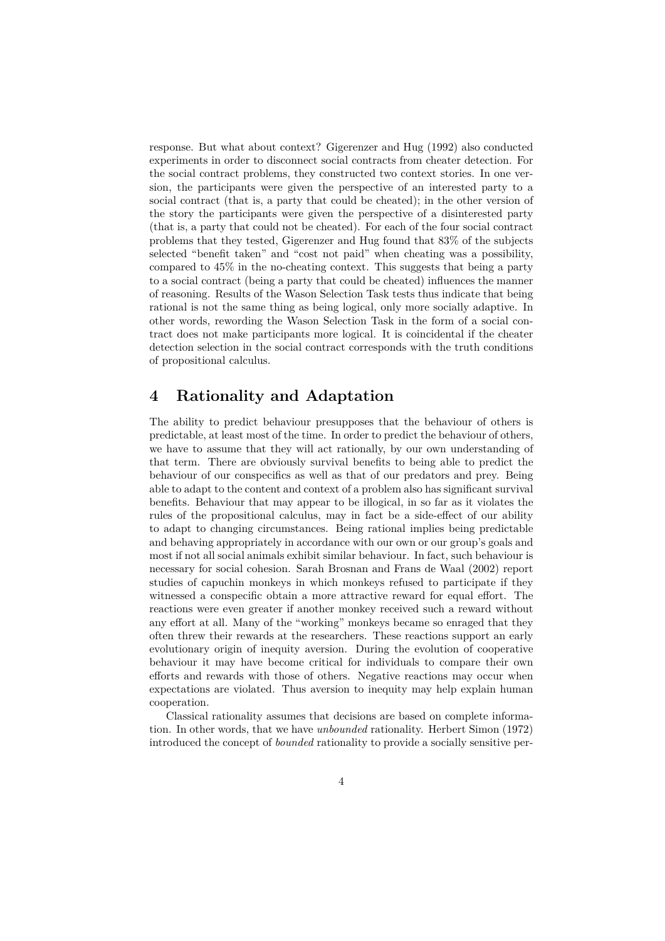response. But what about context? Gigerenzer and Hug (1992) also conducted experiments in order to disconnect social contracts from cheater detection. For the social contract problems, they constructed two context stories. In one version, the participants were given the perspective of an interested party to a social contract (that is, a party that could be cheated); in the other version of the story the participants were given the perspective of a disinterested party (that is, a party that could not be cheated). For each of the four social contract problems that they tested, Gigerenzer and Hug found that 83% of the subjects selected "benefit taken" and "cost not paid" when cheating was a possibility, compared to 45% in the no-cheating context. This suggests that being a party to a social contract (being a party that could be cheated) influences the manner of reasoning. Results of the Wason Selection Task tests thus indicate that being rational is not the same thing as being logical, only more socially adaptive. In other words, rewording the Wason Selection Task in the form of a social contract does not make participants more logical. It is coincidental if the cheater detection selection in the social contract corresponds with the truth conditions of propositional calculus.

#### **4 Rationality and Adaptation**

The ability to predict behaviour presupposes that the behaviour of others is predictable, at least most of the time. In order to predict the behaviour of others, we have to assume that they will act rationally, by our own understanding of that term. There are obviously survival benefits to being able to predict the behaviour of our conspecifics as well as that of our predators and prey. Being able to adapt to the content and context of a problem also has significant survival benefits. Behaviour that may appear to be illogical, in so far as it violates the rules of the propositional calculus, may in fact be a side-effect of our ability to adapt to changing circumstances. Being rational implies being predictable and behaving appropriately in accordance with our own or our group's goals and most if not all social animals exhibit similar behaviour. In fact, such behaviour is necessary for social cohesion. Sarah Brosnan and Frans de Waal (2002) report studies of capuchin monkeys in which monkeys refused to participate if they witnessed a conspecific obtain a more attractive reward for equal effort. The reactions were even greater if another monkey received such a reward without any effort at all. Many of the "working" monkeys became so enraged that they often threw their rewards at the researchers. These reactions support an early evolutionary origin of inequity aversion. During the evolution of cooperative behaviour it may have become critical for individuals to compare their own efforts and rewards with those of others. Negative reactions may occur when expectations are violated. Thus aversion to inequity may help explain human cooperation.

Classical rationality assumes that decisions are based on complete information. In other words, that we have *unbounded* rationality. Herbert Simon (1972) introduced the concept of *bounded* rationality to provide a socially sensitive per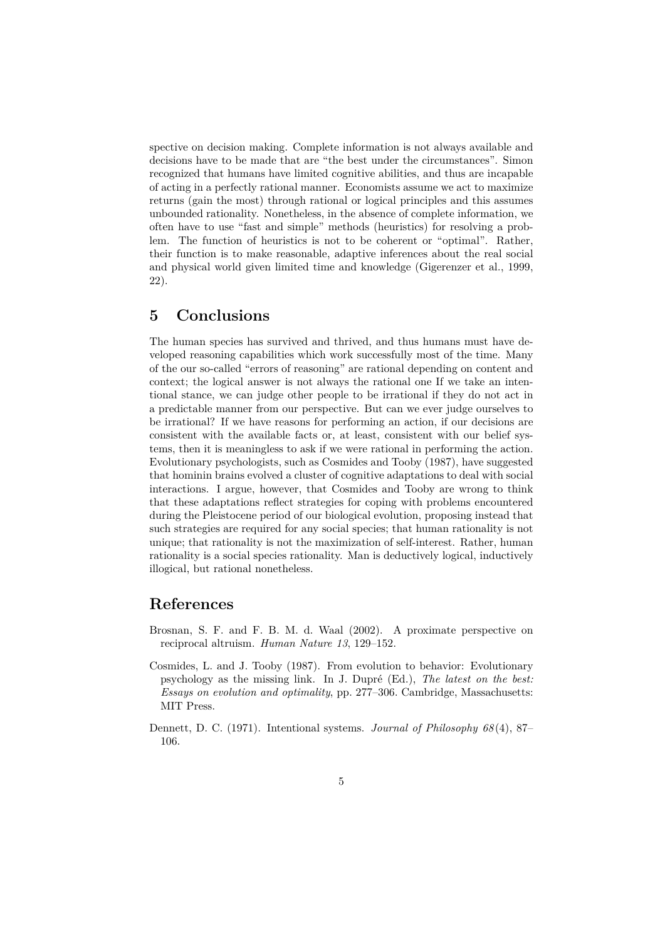spective on decision making. Complete information is not always available and decisions have to be made that are "the best under the circumstances". Simon recognized that humans have limited cognitive abilities, and thus are incapable of acting in a perfectly rational manner. Economists assume we act to maximize returns (gain the most) through rational or logical principles and this assumes unbounded rationality. Nonetheless, in the absence of complete information, we often have to use "fast and simple" methods (heuristics) for resolving a problem. The function of heuristics is not to be coherent or "optimal". Rather, their function is to make reasonable, adaptive inferences about the real social and physical world given limited time and knowledge (Gigerenzer et al., 1999, 22).

#### **5 Conclusions**

The human species has survived and thrived, and thus humans must have developed reasoning capabilities which work successfully most of the time. Many of the our so-called "errors of reasoning" are rational depending on content and context; the logical answer is not always the rational one If we take an intentional stance, we can judge other people to be irrational if they do not act in a predictable manner from our perspective. But can we ever judge ourselves to be irrational? If we have reasons for performing an action, if our decisions are consistent with the available facts or, at least, consistent with our belief systems, then it is meaningless to ask if we were rational in performing the action. Evolutionary psychologists, such as Cosmides and Tooby (1987), have suggested that hominin brains evolved a cluster of cognitive adaptations to deal with social interactions. I argue, however, that Cosmides and Tooby are wrong to think that these adaptations reflect strategies for coping with problems encountered during the Pleistocene period of our biological evolution, proposing instead that such strategies are required for any social species; that human rationality is not unique; that rationality is not the maximization of self-interest. Rather, human rationality is a social species rationality. Man is deductively logical, inductively illogical, but rational nonetheless.

#### **References**

- Brosnan, S. F. and F. B. M. d. Waal (2002). A proximate perspective on reciprocal altruism. *Human Nature 13*, 129–152.
- Cosmides, L. and J. Tooby (1987). From evolution to behavior: Evolutionary psychology as the missing link. In J. Dupré (Ed.), *The latest on the best: Essays on evolution and optimality*, pp. 277–306. Cambridge, Massachusetts: MIT Press.
- Dennett, D. C. (1971). Intentional systems. *Journal of Philosophy 68* (4), 87– 106.